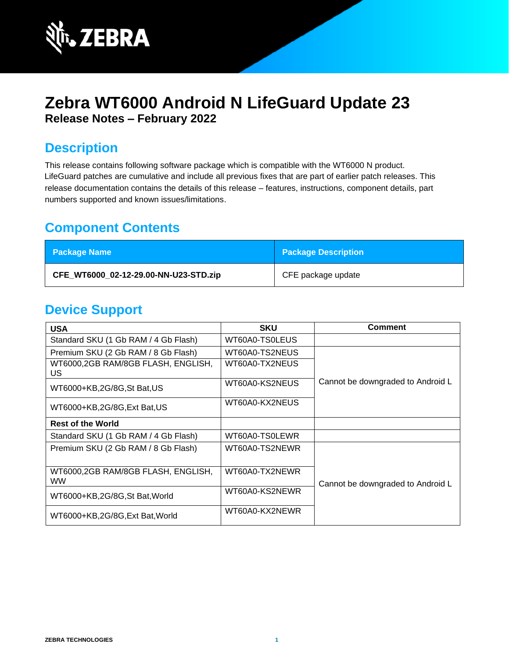

# **Zebra WT6000 Android N LifeGuard Update 23 Release Notes – February 2022**

## **Description**

This release contains following software package which is compatible with the WT6000 N product. LifeGuard patches are cumulative and include all previous fixes that are part of earlier patch releases. This release documentation contains the details of this release – features, instructions, component details, part numbers supported and known issues/limitations.

## **Component Contents**

| <b>Package Name</b>                   | <b>Package Description</b> |
|---------------------------------------|----------------------------|
| CFE WT6000 02-12-29.00-NN-U23-STD.zip | CFE package update         |

## **Device Support**

| <b>USA</b>                                      | <b>SKU</b>     | <b>Comment</b>                    |
|-------------------------------------------------|----------------|-----------------------------------|
| Standard SKU (1 Gb RAM / 4 Gb Flash)            | WT60A0-TS0LEUS |                                   |
| Premium SKU (2 Gb RAM / 8 Gb Flash)             | WT60A0-TS2NEUS |                                   |
| WT6000,2GB RAM/8GB FLASH, ENGLISH,<br>US.       | WT60A0-TX2NEUS |                                   |
| WT6000+KB,2G/8G,St Bat,US                       | WT60A0-KS2NEUS | Cannot be downgraded to Android L |
| WT6000+KB,2G/8G,Ext Bat,US                      | WT60A0-KX2NEUS |                                   |
| <b>Rest of the World</b>                        |                |                                   |
| Standard SKU (1 Gb RAM / 4 Gb Flash)            | WT60A0-TS0LEWR |                                   |
| Premium SKU (2 Gb RAM / 8 Gb Flash)             | WT60A0-TS2NEWR |                                   |
| WT6000,2GB RAM/8GB FLASH, ENGLISH,<br><b>WW</b> | WT60A0-TX2NEWR | Cannot be downgraded to Android L |
| WT6000+KB,2G/8G,St Bat, World                   | WT60A0-KS2NEWR |                                   |
| WT6000+KB,2G/8G,Ext Bat, World                  | WT60A0-KX2NEWR |                                   |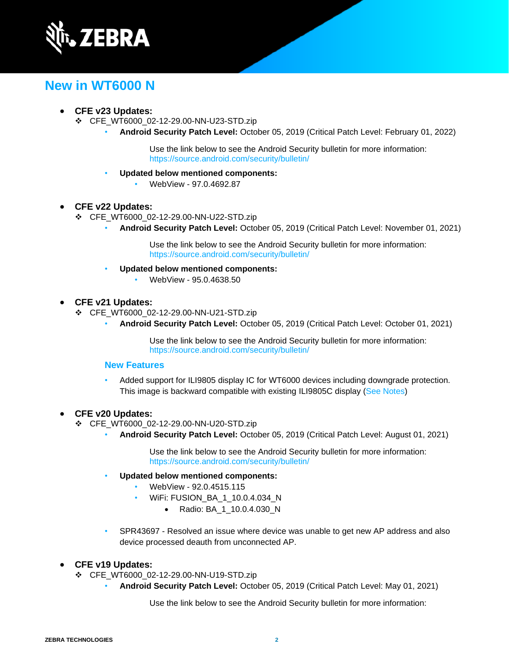

## **New in WT6000 N**

### • **CFE v23 Updates:**

- ❖ CFE\_WT6000\_02-12-29.00-NN-U23-STD.zip
	- **Android Security Patch Level:** October 05, 2019 (Critical Patch Level: February 01, 2022)

Use the link below to see the Android Security bulletin for more information: <https://source.android.com/security/bulletin/>

- **Updated below mentioned components:**
	- WebView 97.0.4692.87

### • **CFE v22 Updates:**

- ❖ CFE\_WT6000\_02-12-29.00-NN-U22-STD.zip
	- **Android Security Patch Level:** October 05, 2019 (Critical Patch Level: November 01, 2021)

Use the link below to see the Android Security bulletin for more information: <https://source.android.com/security/bulletin/>

- **Updated below mentioned components:**
	- WebView 95.0.4638.50
- **CFE v21 Updates:**
	- ❖ CFE\_WT6000\_02-12-29.00-NN-U21-STD.zip
		- **Android Security Patch Level:** October 05, 2019 (Critical Patch Level: October 01, 2021)

Use the link below to see the Android Security bulletin for more information: <https://source.android.com/security/bulletin/>

### **New Features**

• Added support for ILI9805 display IC for WT6000 devices including downgrade protection. This image is backward compatible with existing ILI9805C display [\(See Notes\)](#page-9-0)

### • **CFE v20 Updates:**

- ❖ CFE\_WT6000\_02-12-29.00-NN-U20-STD.zip
	- **Android Security Patch Level:** October 05, 2019 (Critical Patch Level: August 01, 2021)

Use the link below to see the Android Security bulletin for more information: <https://source.android.com/security/bulletin/>

- **Updated below mentioned components:**
	- WebView 92.0.4515.115
	- WiFi: FUSION\_BA\_1\_10.0.4.034\_N
		- Radio: BA\_1\_10.0.4.030\_N
- SPR43697 Resolved an issue where device was unable to get new AP address and also device processed deauth from unconnected AP.

### • **CFE v19 Updates:**

- ❖ CFE\_WT6000\_02-12-29.00-NN-U19-STD.zip
	- **Android Security Patch Level:** October 05, 2019 (Critical Patch Level: May 01, 2021)

Use the link below to see the Android Security bulletin for more information: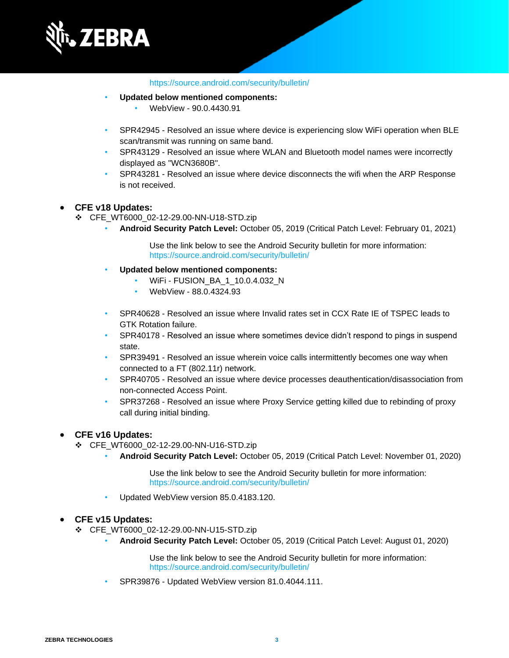

#### <https://source.android.com/security/bulletin/>

- **Updated below mentioned components:**
	- WebView 90.0.4430.91
- SPR42945 Resolved an issue where device is experiencing slow WiFi operation when BLE scan/transmit was running on same band.
- SPR43129 Resolved an issue where WLAN and Bluetooth model names were incorrectly displayed as "WCN3680B".
- SPR43281 Resolved an issue where device disconnects the wifi when the ARP Response is not received.

#### • **CFE v18 Updates:**

- ❖ CFE\_WT6000\_02-12-29.00-NN-U18-STD.zip
	- **Android Security Patch Level:** October 05, 2019 (Critical Patch Level: February 01, 2021)

Use the link below to see the Android Security bulletin for more information: <https://source.android.com/security/bulletin/>

- **Updated below mentioned components:**
	- WiFi FUSION\_BA\_1\_10.0.4.032\_N
	- WebView 88.0.4324.93
- SPR40628 Resolved an issue where Invalid rates set in CCX Rate IE of TSPEC leads to GTK Rotation failure.
- SPR40178 Resolved an issue where sometimes device didn't respond to pings in suspend state.
- SPR39491 Resolved an issue wherein voice calls intermittently becomes one way when connected to a FT (802.11r) network.
- SPR40705 Resolved an issue where device processes deauthentication/disassociation from non-connected Access Point.
- SPR37268 Resolved an issue where Proxy Service getting killed due to rebinding of proxy call during initial binding.

#### • **CFE v16 Updates:**

- ❖ CFE\_WT6000\_02-12-29.00-NN-U16-STD.zip
	- **Android Security Patch Level:** October 05, 2019 (Critical Patch Level: November 01, 2020)

Use the link below to see the Android Security bulletin for more information: <https://source.android.com/security/bulletin/>

• Updated WebView version 85.0.4183.120.

#### • **CFE v15 Updates:**

- ❖ CFE\_WT6000\_02-12-29.00-NN-U15-STD.zip
	- **Android Security Patch Level:** October 05, 2019 (Critical Patch Level: August 01, 2020)

Use the link below to see the Android Security bulletin for more information: <https://source.android.com/security/bulletin/>

• SPR39876 - Updated WebView version 81.0.4044.111.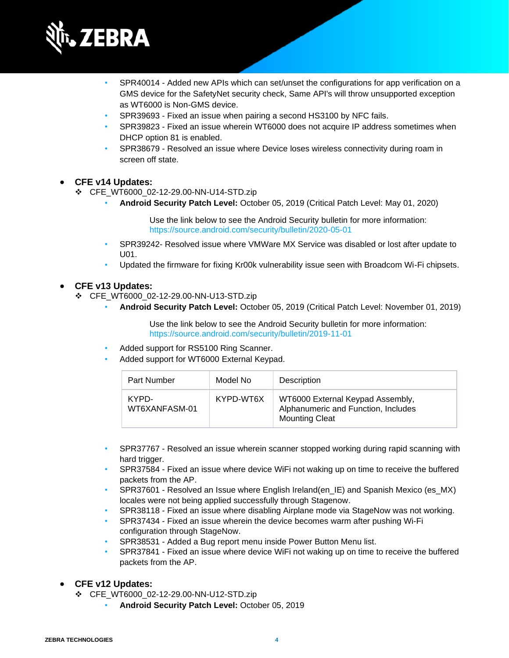

- SPR40014 Added new APIs which can set/unset the configurations for app verification on a GMS device for the SafetyNet security check, Same API's will throw unsupported exception as WT6000 is Non-GMS device.
- SPR39693 Fixed an issue when pairing a second HS3100 by NFC fails.
- SPR39823 Fixed an issue wherein WT6000 does not acquire IP address sometimes when DHCP option 81 is enabled.
- SPR38679 Resolved an issue where Device loses wireless connectivity during roam in screen off state.

#### • **CFE v14 Updates:**

❖ CFE\_WT6000\_02-12-29.00-NN-U14-STD.zip

• **Android Security Patch Level:** October 05, 2019 (Critical Patch Level: May 01, 2020)

Use the link below to see the Android Security bulletin for more information: <https://source.android.com/security/bulletin/2020-05-01>

- SPR39242- Resolved issue where VMWare MX Service was disabled or lost after update to  $U<sub>01</sub>$ .
- Updated the firmware for fixing Kr00k vulnerability issue seen with Broadcom Wi-Fi chipsets.

#### • **CFE v13 Updates:**

- ❖ CFE\_WT6000\_02-12-29.00-NN-U13-STD.zip
	- **Android Security Patch Level:** October 05, 2019 (Critical Patch Level: November 01, 2019)

Use the link below to see the Android Security bulletin for more information: <https://source.android.com/security/bulletin/2019-11-01>

- Added support for RS5100 Ring Scanner.
- Added support for WT6000 External Keypad.

| Part Number            | Model No  | Description                                                                                      |
|------------------------|-----------|--------------------------------------------------------------------------------------------------|
| KYPD-<br>WT6XANFASM-01 | KYPD-WT6X | WT6000 External Keypad Assembly,<br>Alphanumeric and Function, Includes<br><b>Mounting Cleat</b> |

- SPR37767 Resolved an issue wherein scanner stopped working during rapid scanning with hard trigger.
- SPR37584 Fixed an issue where device WiFi not waking up on time to receive the buffered packets from the AP.
- SPR37601 Resolved an Issue where English Ireland(en\_IE) and Spanish Mexico (es\_MX) locales were not being applied successfully through Stagenow.
- SPR38118 Fixed an issue where disabling Airplane mode via StageNow was not working.
- SPR37434 Fixed an issue wherein the device becomes warm after pushing Wi-Fi configuration through StageNow.
- SPR38531 Added a Bug report menu inside Power Button Menu list.
- SPR37841 Fixed an issue where device WiFi not waking up on time to receive the buffered packets from the AP.

#### • **CFE v12 Updates:**

- ❖ CFE\_WT6000\_02-12-29.00-NN-U12-STD.zip
	- **Android Security Patch Level:** October 05, 2019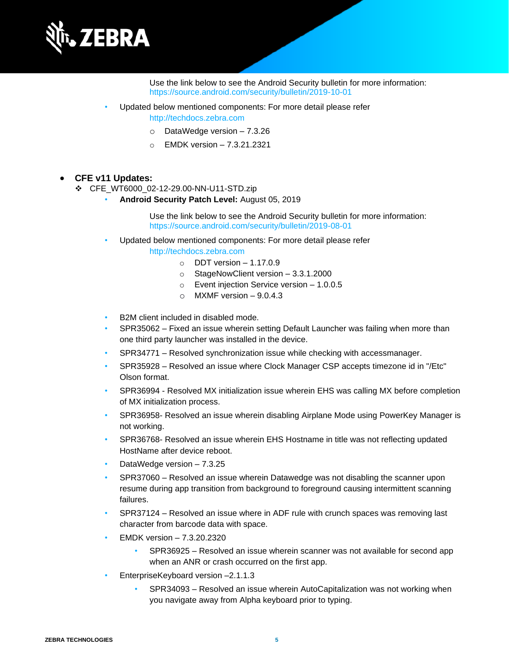

Use the link below to see the Android Security bulletin for more information: <https://source.android.com/security/bulletin/2019-10-01>

- Updated below mentioned components: For more detail please refer [http://techdocs.zebra.com](http://techdocs.zebra.com/)
	- o DataWedge version 7.3.26
	- o EMDK version 7.3.21.2321

### • **CFE v11 Updates:**

- ❖ CFE\_WT6000\_02-12-29.00-NN-U11-STD.zip
	- **Android Security Patch Level:** August 05, 2019

Use the link below to see the Android Security bulletin for more information: <https://source.android.com/security/bulletin/2019-08-01>

- Updated below mentioned components: For more detail please refer [http://techdocs.zebra.com](http://techdocs.zebra.com/)
	- $\circ$  DDT version 1.17.0.9
	- o StageNowClient version 3.3.1.2000
	- o Event injection Service version 1.0.0.5
	- $\circ$  MXMF version  $-9.0.4.3$
- B2M client included in disabled mode.
- SPR35062 Fixed an issue wherein setting Default Launcher was failing when more than one third party launcher was installed in the device.
- SPR34771 Resolved synchronization issue while checking with accessmanager.
- SPR35928 Resolved an issue where Clock Manager CSP accepts timezone id in "/Etc" Olson format.
- SPR36994 Resolved MX initialization issue wherein EHS was calling MX before completion of MX initialization process.
- SPR36958- Resolved an issue wherein disabling Airplane Mode using PowerKey Manager is not working.
- SPR36768- Resolved an issue wherein EHS Hostname in title was not reflecting updated HostName after device reboot.
- DataWedge version 7.3.25
- SPR37060 Resolved an issue wherein Datawedge was not disabling the scanner upon resume during app transition from background to foreground causing intermittent scanning failures.
- SPR37124 Resolved an issue where in ADF rule with crunch spaces was removing last character from barcode data with space.
- EMDK version 7.3.20.2320
	- SPR36925 Resolved an issue wherein scanner was not available for second app when an ANR or crash occurred on the first app.
- EnterpriseKeyboard version -2.1.1.3
	- SPR34093 Resolved an issue wherein AutoCapitalization was not working when you navigate away from Alpha keyboard prior to typing.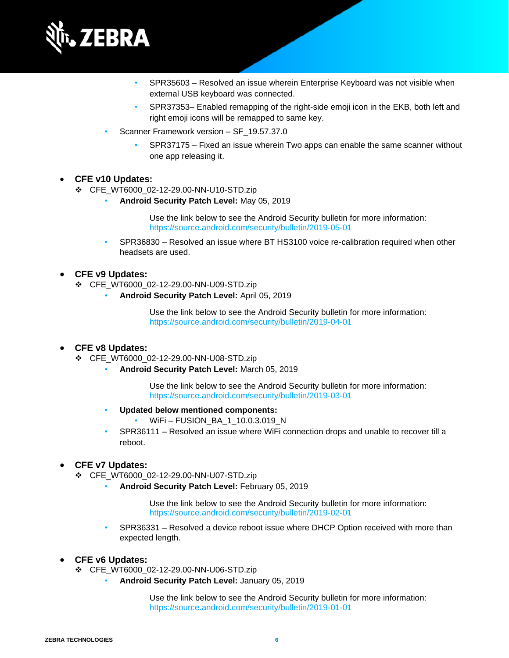

- SPR35603 Resolved an issue wherein Enterprise Keyboard was not visible when external USB keyboard was connected.
- SPR37353– Enabled remapping of the right-side emoji icon in the EKB, both left and right emoji icons will be remapped to same key.
- Scanner Framework version SF\_19.57.37.0
	- SPR37175 Fixed an issue wherein Two apps can enable the same scanner without one app releasing it.

#### • **CFE v10 Updates:**

- ❖ CFE\_WT6000\_02-12-29.00-NN-U10-STD.zip
	- **Android Security Patch Level:** May 05, 2019

Use the link below to see the Android Security bulletin for more information: <https://source.android.com/security/bulletin/2019-05-01>

• SPR36830 – Resolved an issue where BT HS3100 voice re-calibration required when other headsets are used.

#### • **CFE v9 Updates:**

- ❖ CFE\_WT6000\_02-12-29.00-NN-U09-STD.zip
	- **Android Security Patch Level:** April 05, 2019

Use the link below to see the Android Security bulletin for more information: <https://source.android.com/security/bulletin/2019-04-01>

#### • **CFE v8 Updates:**

- ❖ CFE\_WT6000\_02-12-29.00-NN-U08-STD.zip
	- **Android Security Patch Level:** March 05, 2019

Use the link below to see the Android Security bulletin for more information: <https://source.android.com/security/bulletin/2019-03-01>

- **Updated below mentioned components:**
	- WiFi-FUSION\_BA\_1\_10.0.3.019\_N
- SPR36111 Resolved an issue where WiFi connection drops and unable to recover till a reboot.

#### • **CFE v7 Updates:**

- ❖ CFE\_WT6000\_02-12-29.00-NN-U07-STD.zip
	- **Android Security Patch Level:** February 05, 2019

Use the link below to see the Android Security bulletin for more information: <https://source.android.com/security/bulletin/2019-02-01>

- SPR36331 Resolved a device reboot issue where DHCP Option received with more than expected length.
- **CFE v6 Updates:**
	- ❖ CFE\_WT6000\_02-12-29.00-NN-U06-STD.zip
		- **Android Security Patch Level:** January 05, 2019

Use the link below to see the Android Security bulletin for more information: <https://source.android.com/security/bulletin/2019-01-01>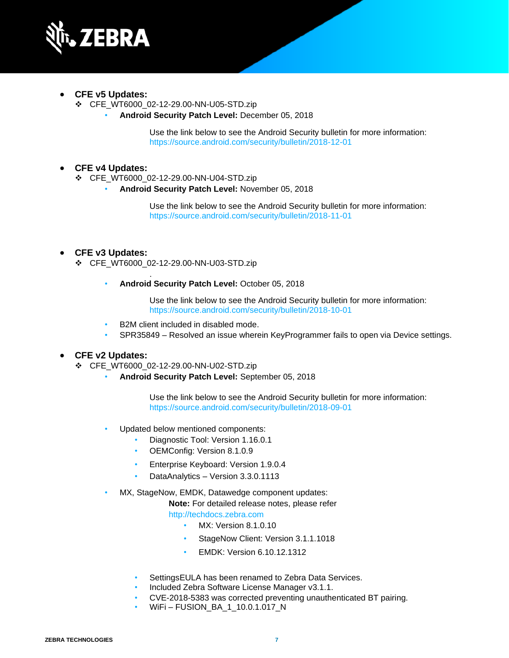

- **CFE v5 Updates:**
	- ❖ CFE\_WT6000\_02-12-29.00-NN-U05-STD.zip
		- **Android Security Patch Level:** December 05, 2018

Use the link below to see the Android Security bulletin for more information: <https://source.android.com/security/bulletin/2018-12-01>

#### • **CFE v4 Updates:**

❖ CFE\_WT6000\_02-12-29.00-NN-U04-STD.zip

• **Android Security Patch Level:** November 05, 2018

Use the link below to see the Android Security bulletin for more information: <https://source.android.com/security/bulletin/2018-11-01>

#### • **CFE v3 Updates:**

❖ CFE\_WT6000\_02-12-29.00-NN-U03-STD.zip

.

• **Android Security Patch Level:** October 05, 2018

Use the link below to see the Android Security bulletin for more information: <https://source.android.com/security/bulletin/2018-10-01>

- B2M client included in disabled mode.
- SPR35849 Resolved an issue wherein KeyProgrammer fails to open via Device settings.

#### • **CFE v2 Updates:**

- ❖ CFE\_WT6000\_02-12-29.00-NN-U02-STD.zip
	- **Android Security Patch Level:** September 05, 2018

Use the link below to see the Android Security bulletin for more information: <https://source.android.com/security/bulletin/2018-09-01>

- Updated below mentioned components:
	- Diagnostic Tool: Version 1.16.0.1
	- OEMConfig: Version 8.1.0.9
	- Enterprise Keyboard: Version 1.9.0.4
	- DataAnalytics Version 3.3.0.1113
- MX, StageNow, EMDK, Datawedge component updates:

**Note:** For detailed release notes, please refer

[http://techdocs.zebra.com](http://techdocs.zebra.com/)

- MX: Version 8.1.0.10
- StageNow Client: Version 3.1.1.1018
- EMDK: Version 6.10.12.1312
- SettingsEULA has been renamed to Zebra Data Services.
- Included Zebra Software License Manager v3.1.1.
- CVE-2018-5383 was corrected preventing unauthenticated BT pairing.
- WiFi FUSION\_BA\_1\_10.0.1.017\_N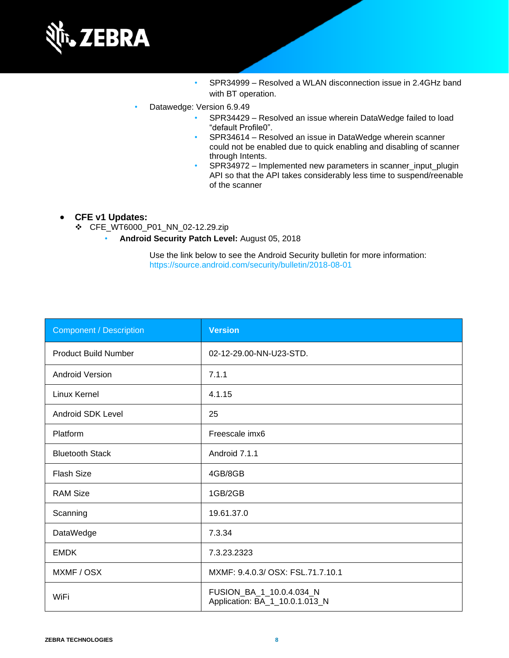

- SPR34999 Resolved a WLAN disconnection issue in 2.4GHz band with BT operation.
- Datawedge: Version 6.9.49
	- SPR34429 Resolved an issue wherein DataWedge failed to load "default Profile0".
	- SPR34614 Resolved an issue in DataWedge wherein scanner could not be enabled due to quick enabling and disabling of scanner through Intents.
	- SPR34972 Implemented new parameters in scanner input plugin API so that the API takes considerably less time to suspend/reenable of the scanner

#### • **CFE v1 Updates:**

- ❖ CFE\_WT6000\_P01\_NN\_02-12.29.zip
	- **Android Security Patch Level:** August 05, 2018

Use the link below to see the Android Security bulletin for more information: <https://source.android.com/security/bulletin/2018-08-01>

| <b>Component / Description</b> | <b>Version</b>                                             |
|--------------------------------|------------------------------------------------------------|
| <b>Product Build Number</b>    | 02-12-29.00-NN-U23-STD.                                    |
| <b>Android Version</b>         | 7.1.1                                                      |
| Linux Kernel                   | 4.1.15                                                     |
| <b>Android SDK Level</b>       | 25                                                         |
| Platform                       | Freescale imx6                                             |
| <b>Bluetooth Stack</b>         | Android 7.1.1                                              |
| <b>Flash Size</b>              | 4GB/8GB                                                    |
| <b>RAM Size</b>                | 1GB/2GB                                                    |
| Scanning                       | 19.61.37.0                                                 |
| DataWedge                      | 7.3.34                                                     |
| <b>EMDK</b>                    | 7.3.23.2323                                                |
| MXMF / OSX                     | MXMF: 9.4.0.3/ OSX: FSL.71.7.10.1                          |
| WiFi                           | FUSION_BA_1_10.0.4.034_N<br>Application: BA_1_10.0.1.013_N |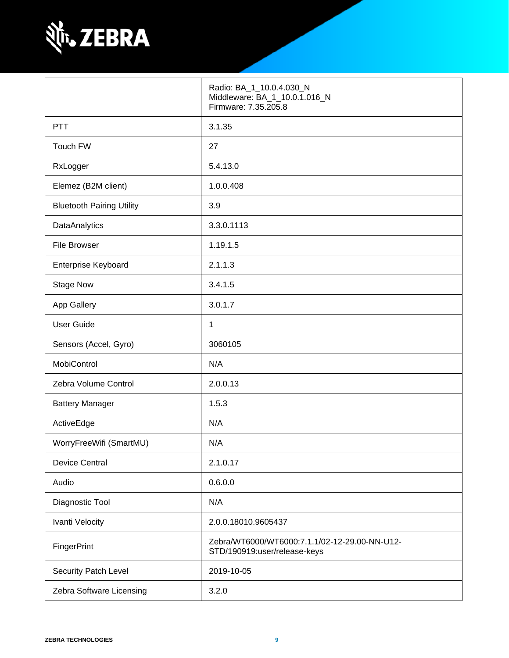

|                                  | Radio: BA_1_10.0.4.030_N<br>Middleware: BA_1_10.0.1.016_N<br>Firmware: 7.35.205.8 |
|----------------------------------|-----------------------------------------------------------------------------------|
| <b>PTT</b>                       | 3.1.35                                                                            |
| Touch FW                         | 27                                                                                |
| RxLogger                         | 5.4.13.0                                                                          |
| Elemez (B2M client)              | 1.0.0.408                                                                         |
| <b>Bluetooth Pairing Utility</b> | 3.9                                                                               |
| DataAnalytics                    | 3.3.0.1113                                                                        |
| <b>File Browser</b>              | 1.19.1.5                                                                          |
| <b>Enterprise Keyboard</b>       | 2.1.1.3                                                                           |
| <b>Stage Now</b>                 | 3.4.1.5                                                                           |
| App Gallery                      | 3.0.1.7                                                                           |
| <b>User Guide</b>                | 1                                                                                 |
| Sensors (Accel, Gyro)            | 3060105                                                                           |
| MobiControl                      | N/A                                                                               |
| Zebra Volume Control             | 2.0.0.13                                                                          |
| <b>Battery Manager</b>           | 1.5.3                                                                             |
| ActiveEdge                       | N/A                                                                               |
| WorryFreeWifi (SmartMU)          | N/A                                                                               |
| <b>Device Central</b>            | 2.1.0.17                                                                          |
| Audio                            | 0.6.0.0                                                                           |
| Diagnostic Tool                  | N/A                                                                               |
| Ivanti Velocity                  | 2.0.0.18010.9605437                                                               |
| FingerPrint                      | Zebra/WT6000/WT6000:7.1.1/02-12-29.00-NN-U12-<br>STD/190919:user/release-keys     |
| Security Patch Level             | 2019-10-05                                                                        |
| Zebra Software Licensing         | 3.2.0                                                                             |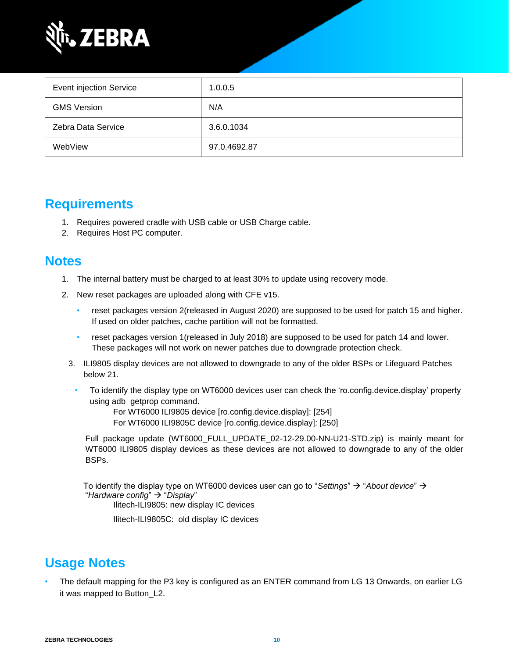

| <b>Event injection Service</b> | 1.0.0.5      |
|--------------------------------|--------------|
| <b>GMS Version</b>             | N/A          |
| Zebra Data Service             | 3.6.0.1034   |
| WebView                        | 97.0.4692.87 |

### **Requirements**

- 1. Requires powered cradle with USB cable or USB Charge cable.
- 2. Requires Host PC computer.

### <span id="page-9-0"></span>**Notes**

- 1. The internal battery must be charged to at least 30% to update using recovery mode.
- 2. New reset packages are uploaded along with CFE v15.
	- reset packages version 2(released in August 2020) are supposed to be used for patch 15 and higher. If used on older patches, cache partition will not be formatted.
	- reset packages version 1(released in July 2018) are supposed to be used for patch 14 and lower. These packages will not work on newer patches due to downgrade protection check.
	- 3. ILI9805 display devices are not allowed to downgrade to any of the older BSPs or Lifeguard Patches below 21.
		- To identify the display type on WT6000 devices user can check the 'ro.config.device.display' property using adb getprop command.

For WT6000 ILI9805 device [ro.config.device.display]: [254] For WT6000 ILI9805C device [ro.config.device.display]: [250]

Full package update (WT6000\_FULL\_UPDATE\_02-12-29.00-NN-U21-STD.zip) is mainly meant for WT6000 ILI9805 display devices as these devices are not allowed to downgrade to any of the older BSPs.

To identify the display type on WT6000 devices user can go to "*Settings*" → "*About device*" → "*Hardware config*" → "*Display*"

Ilitech-ILI9805: new display IC devices

Ilitech-ILI9805C: old display IC devices

## **Usage Notes**

• The default mapping for the P3 key is configured as an ENTER command from LG 13 Onwards, on earlier LG it was mapped to Button\_L2.